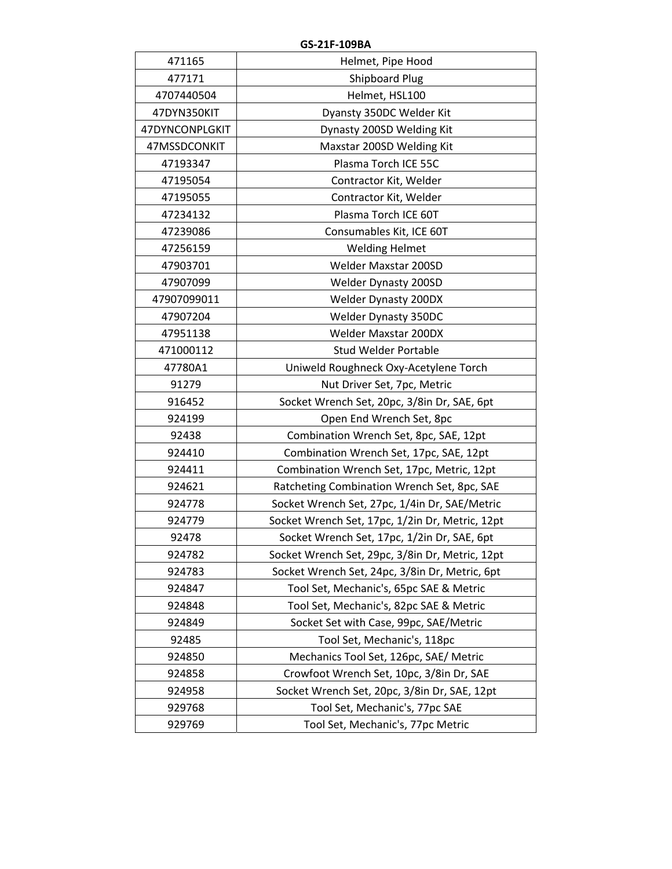| 471165         | Helmet, Pipe Hood                               |
|----------------|-------------------------------------------------|
| 477171         | <b>Shipboard Plug</b>                           |
| 4707440504     | Helmet, HSL100                                  |
| 47DYN350KIT    | Dyansty 350DC Welder Kit                        |
| 47DYNCONPLGKIT | Dynasty 200SD Welding Kit                       |
| 47MSSDCONKIT   | Maxstar 200SD Welding Kit                       |
| 47193347       | Plasma Torch ICE 55C                            |
| 47195054       | Contractor Kit, Welder                          |
| 47195055       | Contractor Kit, Welder                          |
| 47234132       | Plasma Torch ICE 60T                            |
| 47239086       | Consumables Kit, ICE 60T                        |
| 47256159       | <b>Welding Helmet</b>                           |
| 47903701       | Welder Maxstar 200SD                            |
| 47907099       | <b>Welder Dynasty 200SD</b>                     |
| 47907099011    | Welder Dynasty 200DX                            |
| 47907204       | <b>Welder Dynasty 350DC</b>                     |
| 47951138       | Welder Maxstar 200DX                            |
| 471000112      | <b>Stud Welder Portable</b>                     |
| 47780A1        | Uniweld Roughneck Oxy-Acetylene Torch           |
| 91279          | Nut Driver Set, 7pc, Metric                     |
| 916452         | Socket Wrench Set, 20pc, 3/8in Dr, SAE, 6pt     |
| 924199         | Open End Wrench Set, 8pc                        |
| 92438          | Combination Wrench Set, 8pc, SAE, 12pt          |
| 924410         | Combination Wrench Set, 17pc, SAE, 12pt         |
| 924411         | Combination Wrench Set, 17pc, Metric, 12pt      |
| 924621         | Ratcheting Combination Wrench Set, 8pc, SAE     |
| 924778         | Socket Wrench Set, 27pc, 1/4in Dr, SAE/Metric   |
| 924779         | Socket Wrench Set, 17pc, 1/2in Dr, Metric, 12pt |
| 92478          | Socket Wrench Set, 17pc, 1/2in Dr, SAE, 6pt     |
| 924782         | Socket Wrench Set, 29pc, 3/8in Dr, Metric, 12pt |
| 924783         | Socket Wrench Set, 24pc, 3/8in Dr, Metric, 6pt  |
| 924847         | Tool Set, Mechanic's, 65pc SAE & Metric         |
| 924848         | Tool Set, Mechanic's, 82pc SAE & Metric         |
| 924849         | Socket Set with Case, 99pc, SAE/Metric          |
| 92485          | Tool Set, Mechanic's, 118pc                     |
| 924850         | Mechanics Tool Set, 126pc, SAE/ Metric          |
| 924858         | Crowfoot Wrench Set, 10pc, 3/8in Dr, SAE        |
| 924958         | Socket Wrench Set, 20pc, 3/8in Dr, SAE, 12pt    |
| 929768         | Tool Set, Mechanic's, 77pc SAE                  |
| 929769         | Tool Set, Mechanic's, 77pc Metric               |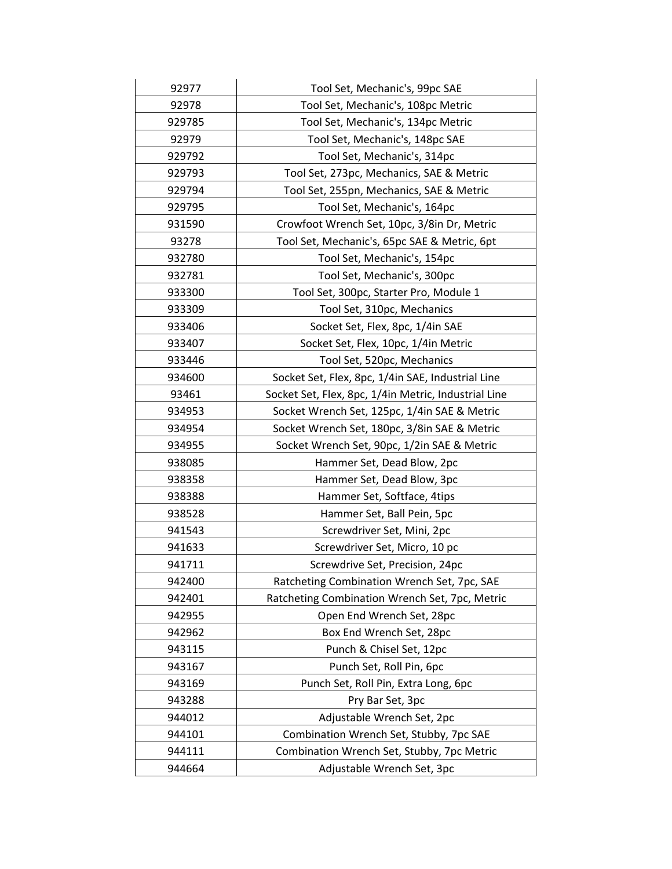| 92977  | Tool Set, Mechanic's, 99pc SAE                       |
|--------|------------------------------------------------------|
| 92978  | Tool Set, Mechanic's, 108pc Metric                   |
| 929785 | Tool Set, Mechanic's, 134pc Metric                   |
| 92979  | Tool Set, Mechanic's, 148pc SAE                      |
| 929792 | Tool Set, Mechanic's, 314pc                          |
| 929793 | Tool Set, 273pc, Mechanics, SAE & Metric             |
| 929794 | Tool Set, 255pn, Mechanics, SAE & Metric             |
| 929795 | Tool Set, Mechanic's, 164pc                          |
| 931590 | Crowfoot Wrench Set, 10pc, 3/8in Dr, Metric          |
| 93278  | Tool Set, Mechanic's, 65pc SAE & Metric, 6pt         |
| 932780 | Tool Set, Mechanic's, 154pc                          |
| 932781 | Tool Set, Mechanic's, 300pc                          |
| 933300 | Tool Set, 300pc, Starter Pro, Module 1               |
| 933309 | Tool Set, 310pc, Mechanics                           |
| 933406 | Socket Set, Flex, 8pc, 1/4in SAE                     |
| 933407 | Socket Set, Flex, 10pc, 1/4in Metric                 |
| 933446 | Tool Set, 520pc, Mechanics                           |
| 934600 | Socket Set, Flex, 8pc, 1/4in SAE, Industrial Line    |
| 93461  | Socket Set, Flex, 8pc, 1/4in Metric, Industrial Line |
| 934953 | Socket Wrench Set, 125pc, 1/4in SAE & Metric         |
| 934954 | Socket Wrench Set, 180pc, 3/8in SAE & Metric         |
| 934955 | Socket Wrench Set, 90pc, 1/2in SAE & Metric          |
| 938085 | Hammer Set, Dead Blow, 2pc                           |
| 938358 | Hammer Set, Dead Blow, 3pc                           |
| 938388 | Hammer Set, Softface, 4tips                          |
| 938528 | Hammer Set, Ball Pein, 5pc                           |
| 941543 | Screwdriver Set, Mini, 2pc                           |
| 941633 | Screwdriver Set, Micro, 10 pc                        |
| 941711 | Screwdrive Set, Precision, 24pc                      |
| 942400 | Ratcheting Combination Wrench Set, 7pc, SAE          |
| 942401 | Ratcheting Combination Wrench Set, 7pc, Metric       |
| 942955 | Open End Wrench Set, 28pc                            |
| 942962 | Box End Wrench Set, 28pc                             |
| 943115 | Punch & Chisel Set, 12pc                             |
| 943167 | Punch Set, Roll Pin, 6pc                             |
| 943169 | Punch Set, Roll Pin, Extra Long, 6pc                 |
| 943288 | Pry Bar Set, 3pc                                     |
| 944012 | Adjustable Wrench Set, 2pc                           |
| 944101 | Combination Wrench Set, Stubby, 7pc SAE              |
| 944111 | Combination Wrench Set, Stubby, 7pc Metric           |
| 944664 | Adjustable Wrench Set, 3pc                           |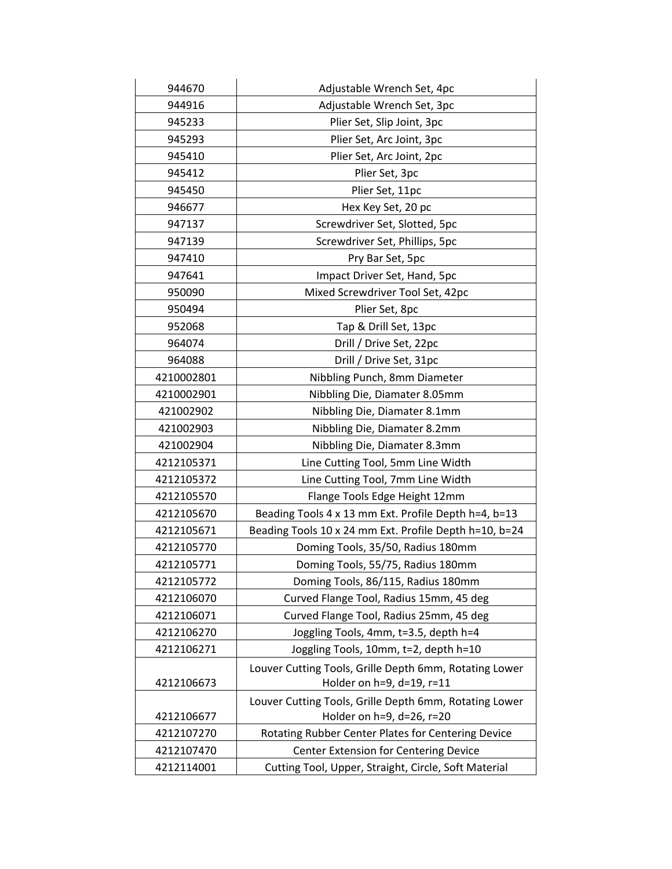| 944670     | Adjustable Wrench Set, 4pc                             |
|------------|--------------------------------------------------------|
| 944916     | Adjustable Wrench Set, 3pc                             |
| 945233     | Plier Set, Slip Joint, 3pc                             |
| 945293     | Plier Set, Arc Joint, 3pc                              |
| 945410     | Plier Set, Arc Joint, 2pc                              |
| 945412     | Plier Set, 3pc                                         |
| 945450     | Plier Set, 11pc                                        |
| 946677     | Hex Key Set, 20 pc                                     |
| 947137     | Screwdriver Set, Slotted, 5pc                          |
| 947139     | Screwdriver Set, Phillips, 5pc                         |
| 947410     | Pry Bar Set, 5pc                                       |
| 947641     | Impact Driver Set, Hand, 5pc                           |
| 950090     | Mixed Screwdriver Tool Set, 42pc                       |
| 950494     | Plier Set, 8pc                                         |
| 952068     | Tap & Drill Set, 13pc                                  |
| 964074     | Drill / Drive Set, 22pc                                |
| 964088     | Drill / Drive Set, 31pc                                |
| 4210002801 | Nibbling Punch, 8mm Diameter                           |
| 4210002901 | Nibbling Die, Diamater 8.05mm                          |
| 421002902  | Nibbling Die, Diamater 8.1mm                           |
| 421002903  | Nibbling Die, Diamater 8.2mm                           |
| 421002904  | Nibbling Die, Diamater 8.3mm                           |
| 4212105371 | Line Cutting Tool, 5mm Line Width                      |
| 4212105372 | Line Cutting Tool, 7mm Line Width                      |
| 4212105570 | Flange Tools Edge Height 12mm                          |
| 4212105670 | Beading Tools 4 x 13 mm Ext. Profile Depth h=4, b=13   |
| 4212105671 | Beading Tools 10 x 24 mm Ext. Profile Depth h=10, b=24 |
| 4212105770 | Doming Tools, 35/50, Radius 180mm                      |
| 4212105771 | Doming Tools, 55/75, Radius 180mm                      |
| 4212105772 | Doming Tools, 86/115, Radius 180mm                     |
| 4212106070 | Curved Flange Tool, Radius 15mm, 45 deg                |
| 4212106071 | Curved Flange Tool, Radius 25mm, 45 deg                |
| 4212106270 | Joggling Tools, 4mm, t=3.5, depth h=4                  |
| 4212106271 | Joggling Tools, 10mm, t=2, depth h=10                  |
|            | Louver Cutting Tools, Grille Depth 6mm, Rotating Lower |
| 4212106673 | Holder on h=9, d=19, r=11                              |
|            | Louver Cutting Tools, Grille Depth 6mm, Rotating Lower |
| 4212106677 | Holder on h=9, d=26, r=20                              |
| 4212107270 | Rotating Rubber Center Plates for Centering Device     |
| 4212107470 | Center Extension for Centering Device                  |
| 4212114001 | Cutting Tool, Upper, Straight, Circle, Soft Material   |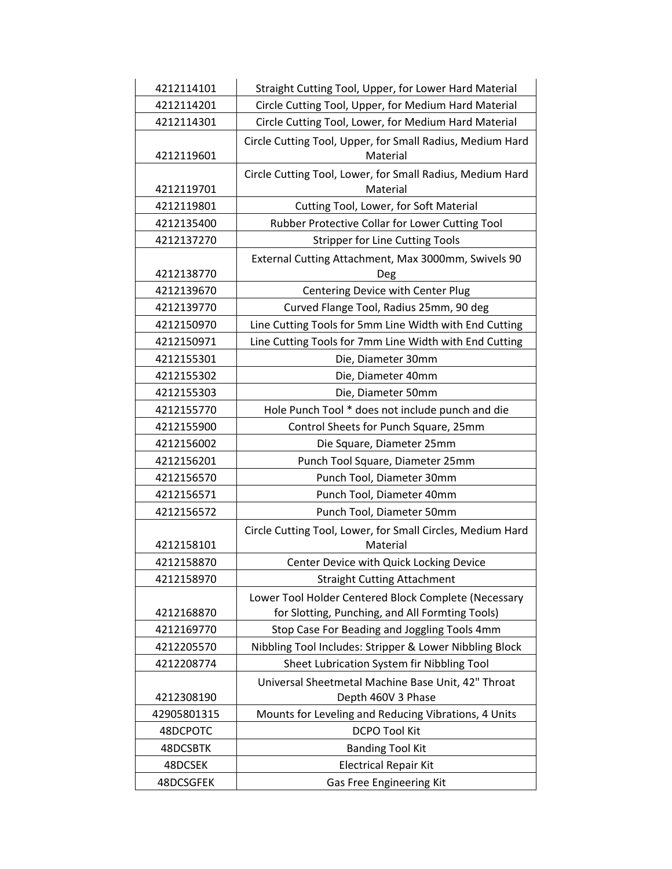| 4212114101  | Straight Cutting Tool, Upper, for Lower Hard Material      |
|-------------|------------------------------------------------------------|
| 4212114201  | Circle Cutting Tool, Upper, for Medium Hard Material       |
| 4212114301  | Circle Cutting Tool, Lower, for Medium Hard Material       |
|             | Circle Cutting Tool, Upper, for Small Radius, Medium Hard  |
| 4212119601  | Material                                                   |
|             | Circle Cutting Tool, Lower, for Small Radius, Medium Hard  |
| 4212119701  | Material                                                   |
| 4212119801  | Cutting Tool, Lower, for Soft Material                     |
| 4212135400  | Rubber Protective Collar for Lower Cutting Tool            |
| 4212137270  | <b>Stripper for Line Cutting Tools</b>                     |
|             | External Cutting Attachment, Max 3000mm, Swivels 90        |
| 4212138770  | Deg                                                        |
| 4212139670  | Centering Device with Center Plug                          |
| 4212139770  | Curved Flange Tool, Radius 25mm, 90 deg                    |
| 4212150970  | Line Cutting Tools for 5mm Line Width with End Cutting     |
| 4212150971  | Line Cutting Tools for 7mm Line Width with End Cutting     |
| 4212155301  | Die, Diameter 30mm                                         |
| 4212155302  | Die, Diameter 40mm                                         |
| 4212155303  | Die, Diameter 50mm                                         |
| 4212155770  | Hole Punch Tool * does not include punch and die           |
| 4212155900  | Control Sheets for Punch Square, 25mm                      |
| 4212156002  | Die Square, Diameter 25mm                                  |
| 4212156201  | Punch Tool Square, Diameter 25mm                           |
| 4212156570  | Punch Tool, Diameter 30mm                                  |
| 4212156571  | Punch Tool, Diameter 40mm                                  |
| 4212156572  | Punch Tool, Diameter 50mm                                  |
|             | Circle Cutting Tool, Lower, for Small Circles, Medium Hard |
| 4212158101  | Material                                                   |
| 4212158870  | Center Device with Quick Locking Device                    |
| 4212158970  | <b>Straight Cutting Attachment</b>                         |
|             | Lower Tool Holder Centered Block Complete (Necessary       |
| 4212168870  | for Slotting, Punching, and All Formting Tools)            |
| 4212169770  | Stop Case For Beading and Joggling Tools 4mm               |
| 4212205570  | Nibbling Tool Includes: Stripper & Lower Nibbling Block    |
| 4212208774  | Sheet Lubrication System fir Nibbling Tool                 |
|             | Universal Sheetmetal Machine Base Unit, 42" Throat         |
| 4212308190  | Depth 460V 3 Phase                                         |
| 42905801315 | Mounts for Leveling and Reducing Vibrations, 4 Units       |
| 48DCPOTC    | <b>DCPO Tool Kit</b>                                       |
| 48DCSBTK    | <b>Banding Tool Kit</b>                                    |
| 48DCSEK     | <b>Electrical Repair Kit</b>                               |
| 48DCSGFEK   | Gas Free Engineering Kit                                   |